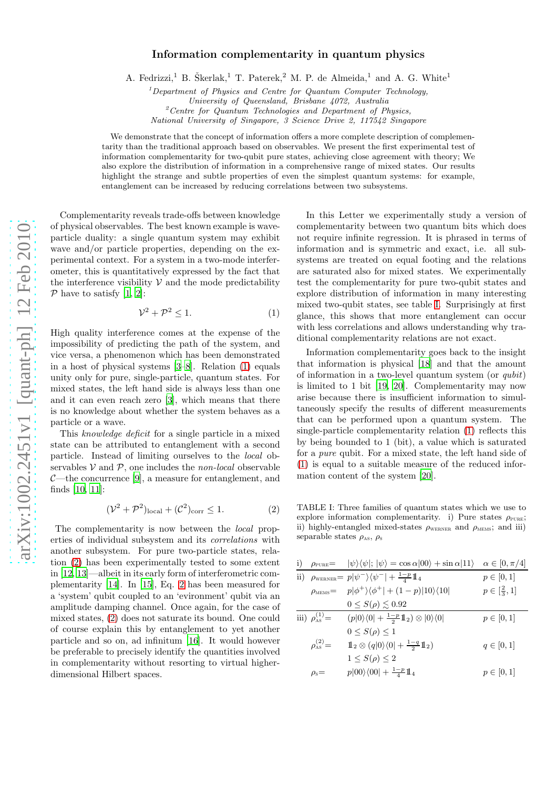## Information complementarity in quantum physics

A. Fedrizzi,<sup>1</sup> B. Škerlak,<sup>1</sup> T. Paterek,<sup>2</sup> M. P. de Almeida,<sup>1</sup> and A. G. White<sup>1</sup>

<sup>1</sup>Department of Physics and Centre for Quantum Computer Technology, University of Queensland, Brisbane 4072, Australia  $2$ <sup>2</sup> Centre for Quantum Technologies and Department of Physics, National University of Singapore, 3 Science Drive 2, 117542 Singapore

We demonstrate that the concept of information offers a more complete description of complementarity than the traditional approach based on observables. We present the first experimental test of information complementarity for two-qubit pure states, achieving close agreement with theory; We also explore the distribution of information in a comprehensive range of mixed states. Our results highlight the strange and subtle properties of even the simplest quantum systems: for example, entanglement can be increased by reducing correlations between two subsystems.

Complementarity reveals trade-offs between knowledge of physical observables. The best known example is waveparticle duality: a single quantum system may exhibit wave and/or particle properties, depending on the experimental context. For a system in a two-mode interferometer, this is quantitatively expressed by the fact that the interference visibility  $V$  and the mode predictability  $P$  have to satisfy [\[1](#page-3-0), [2](#page-3-1)]:

<span id="page-0-0"></span>
$$
\mathcal{V}^2 + \mathcal{P}^2 \le 1. \tag{1}
$$

High quality interference comes at the expense of the impossibility of predicting the path of the system, and vice versa, a phenomenon which has been demonstrated in a host of physical systems [\[3](#page-3-2)[–8](#page-3-3)]. Relation [\(1\)](#page-0-0) equals unity only for pure, single-particle, quantum states. For mixed states, the left hand side is always less than one and it can even reach zero [\[3](#page-3-2)], which means that there is no knowledge about whether the system behaves as a particle or a wave.

This knowledge deficit for a single particle in a mixed state can be attributed to entanglement with a second particle. Instead of limiting ourselves to the local observables  $V$  and  $P$ , one includes the *non-local* observable  $C$ —the concurrence [\[9\]](#page-3-4), a measure for entanglement, and finds [\[10,](#page-3-5) [11\]](#page-3-6):

<span id="page-0-1"></span>
$$
(\mathcal{V}^2 + \mathcal{P}^2)_{\text{local}} + (\mathcal{C}^2)_{\text{corr}} \le 1.
$$
 (2)

The complementarity is now between the local properties of individual subsystem and its correlations with another subsystem. For pure two-particle states, relation [\(2\)](#page-0-1) has been experimentally tested to some extent in [\[12](#page-3-7), [13](#page-3-8)]—albeit in its early form of interferometric complementarity [\[14\]](#page-3-9). In [\[15](#page-3-10)], Eq. [2](#page-0-1) has been measured for a 'system' qubit coupled to an 'evironment' qubit via an amplitude damping channel. Once again, for the case of mixed states, [\(2\)](#page-0-1) does not saturate its bound. One could of course explain this by entanglement to yet another particle and so on, ad infinitum [\[16\]](#page-3-11). It would however be preferable to precisely identify the quantities involved in complementarity without resorting to virtual higherdimensional Hilbert spaces.

In this Letter we experimentally study a version of complementarity between two quantum bits which does not require infinite regression. It is phrased in terms of information and is symmetric and exact, i.e. all subsystems are treated on equal footing and the relations are saturated also for mixed states. We experimentally test the complementarity for pure two-qubit states and explore distribution of information in many interesting mixed two-qubit states, see table [I.](#page-0-2) Surprisingly at first glance, this shows that more entanglement can occur with less correlations and allows understanding why traditional complementarity relations are not exact.

Information complementarity goes back to the insight that information is physical [\[18](#page-3-12)] and that the amount of information in a two-level quantum system (or qubit) is limited to 1 bit [\[19,](#page-3-13) [20](#page-3-14)]. Complementarity may now arise because there is insufficient information to simultaneously specify the results of different measurements that can be performed upon a quantum system. The single-particle complementarity relation [\(1\)](#page-0-0) reflects this by being bounded to 1 (bit), a value which is saturated for a pure qubit. For a mixed state, the left hand side of [\(1\)](#page-0-0) is equal to a suitable measure of the reduced information content of the system [\[20\]](#page-3-14).

<span id="page-0-2"></span>TABLE I: Three families of quantum states which we use to explore information complementarity. i) Pure states  $\rho_{\text{PURE}}$ ; ii) highly-entangled mixed-states  $\rho_{\text{wERNER}}$  and  $\rho_{\text{MEMS}}$ ; and iii) separable states  $\rho_{\rm AS}, \rho_{\rm S}$ 

|                              | i) $\rho_{\text{PURE}} =  \psi\rangle\langle\psi ;  \psi\rangle = \cos \alpha 00\rangle + \sin \alpha 11\rangle$ | $\alpha \in [0, \pi/4]$  |
|------------------------------|------------------------------------------------------------------------------------------------------------------|--------------------------|
|                              | ii) $\rho_{\text{WERNER}} = p \psi^{-}\rangle\langle\psi^{-}  + \frac{1-p}{4}\mathbb{1}_{4}$                     | $p \in [0,1]$            |
|                              | $\rho_{\text{\tiny MEMS}} = p \phi^+\rangle\langle\phi^+  + (1-p) 10\rangle\langle10 $                           | $p \in [\frac{2}{3}, 1]$ |
|                              | $0 \leq S(\rho) \lesssim 0.92$                                                                                   |                          |
| iii) $\rho_{\rm as}^{(1)}$ = | $(p 0\rangle\langle 0  + \frac{1-p}{2}\mathbb{1}_2) \otimes  0\rangle\langle 0 $                                 | $p \in [0, 1]$           |
|                              | $0 \leq S(\rho) \leq 1$                                                                                          |                          |
| $\rho_{\rm as}^{(2)}$ =      | $1\!\!1_2\otimes (q 0\rangle\langle 0 +\frac{1-q}{2}1\!\!1_2)$                                                   | $q \in [0,1]$            |
|                              | $1 \leq S(\rho) \leq 2$                                                                                          |                          |
| $\rho_{\rm s}$ =             | $p 00\rangle\langle00  + \frac{1-p}{4}\mathbb{1}_4$                                                              | $p \in [0, 1]$           |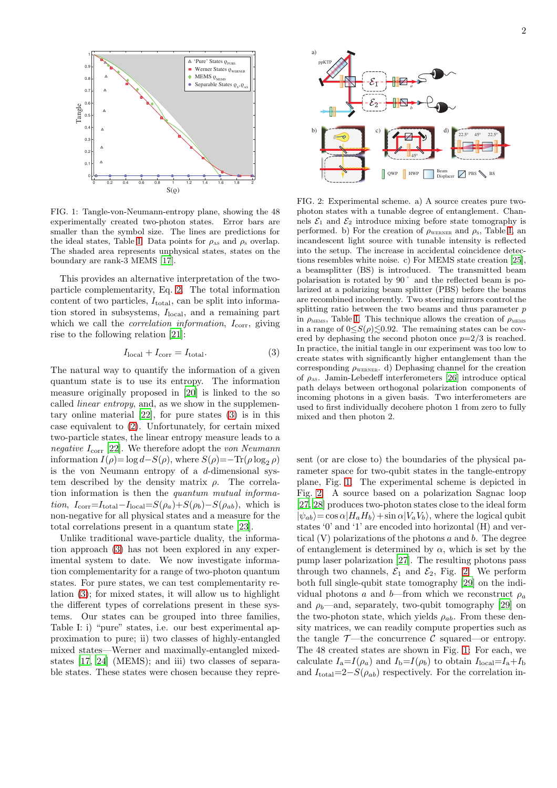

<span id="page-1-1"></span>FIG. 1: Tangle-von-Neumann-entropy plane, showing the 48 experimentally created two-photon states. Error bars are smaller than the symbol size. The lines are predictions for the ideal states, Table [I.](#page-0-2) Data points for  $\rho_{AS}$  and  $\rho_S$  overlap. The shaded area represents unphysical states, states on the boundary are rank-3 MEMS [\[17\]](#page-3-15).

This provides an alternative interpretation of the twoparticle complementarity, Eq. [2.](#page-0-1) The total information content of two particles,  $I_{total}$ , can be split into information stored in subsystems,  $I<sub>local</sub>$ , and a remaining part which we call the *correlation information*,  $I_{\text{corr}}$ , giving rise to the following relation [\[21](#page-3-16)]:

<span id="page-1-0"></span>
$$
I_{\text{local}} + I_{\text{corr}} = I_{\text{total}}.\tag{3}
$$

The natural way to quantify the information of a given quantum state is to use its entropy. The information measure originally proposed in [\[20\]](#page-3-14) is linked to the so called linear entropy, and, as we show in the supplementary online material [\[22\]](#page-3-17), for pure states [\(3\)](#page-1-0) is in this case equivalent to [\(2\)](#page-0-1). Unfortunately, for certain mixed two-particle states, the linear entropy measure leads to a negative  $I_{\text{corr}}$  [\[22\]](#page-3-17). We therefore adopt the von Neumann information  $I(\rho) = \log d - S(\rho)$ , where  $S(\rho) = -\text{Tr}(\rho \log_2 \rho)$ is the von Neumann entropy of a  $d$ -dimensional system described by the density matrix  $\rho$ . The correlation information is then the quantum mutual information,  $I_{\text{corr}}=I_{\text{total}}-I_{\text{local}}=S(\rho_a)+S(\rho_b)-S(\rho_{ab})$ , which is non-negative for all physical states and a measure for the total correlations present in a quantum state [\[23\]](#page-3-18).

Unlike traditional wave-particle duality, the information approach [\(3\)](#page-1-0) has not been explored in any experimental system to date. We now investigate information complementarity for a range of two-photon quantum states. For pure states, we can test complementarity relation [\(3\)](#page-1-0); for mixed states, it will allow us to highlight the different types of correlations present in these systems. Our states can be grouped into three families, Table I: i) "pure" states, i.e. our best experimental approximation to pure; ii) two classes of highly-entangled mixed states—Werner and maximally-entangled mixedstates [\[17](#page-3-15), [24](#page-3-19)] (MEMS); and iii) two classes of separable states. These states were chosen because they repre-



<span id="page-1-2"></span>FIG. 2: Experimental scheme. a) A source creates pure twophoton states with a tunable degree of entanglement. Channels  $\mathcal{E}_1$  and  $\mathcal{E}_2$  introduce mixing before state tomography is performed. b) For the creation of  $\rho_{\text{wERNER}}$  and  $\rho_{\text{s}}$ , Table [I,](#page-0-2) an incandescent light source with tunable intensity is reflected into the setup. The increase in accidental coincidence detections resembles white noise. c) For MEMS state creation [\[25\]](#page-3-20), a beamsplitter (BS) is introduced. The transmitted beam polarisation is rotated by 90˚ and the reflected beam is polarized at a polarizing beam splitter (PBS) before the beams are recombined incoherently. Two steering mirrors control the splitting ratio between the two beams and thus parameter  $p$ in  $\rho_{\text{MEMS}}$ , Table [I.](#page-0-2) This technique allows the creation of  $\rho_{\text{MEMS}}$ in a range of  $0 \leq S(\rho) \leq 0.92$ . The remaining states can be covered by dephasing the second photon once  $p=2/3$  is reached. In practice, the initial tangle in our experiment was too low to create states with significantly higher entanglement than the corresponding  $\rho_{\text{\tiny{WERNER}}}$ . d) Dephasing channel for the creation of  $\rho_{\text{as}}$ . Jamin-Lebedeff interferometers [\[26\]](#page-3-21) introduce optical path delays between orthogonal polarization components of incoming photons in a given basis. Two interferometers are used to first individually decohere photon 1 from zero to fully mixed and then photon 2.

sent (or are close to) the boundaries of the physical parameter space for two-qubit states in the tangle-entropy plane, Fig. [1.](#page-1-1) The experimental scheme is depicted in Fig. [2.](#page-1-2) A source based on a polarization Sagnac loop [\[27,](#page-3-22) [28\]](#page-3-23) produces two-photon states close to the ideal form  $|\psi_{ab}\rangle = \cos \alpha |H_a H_b\rangle + \sin \alpha |V_a V_b\rangle$ , where the logical qubit states '0' and '1' are encoded into horizontal (H) and vertical  $(V)$  polarizations of the photons a and b. The degree of entanglement is determined by  $\alpha$ , which is set by the pump laser polarization [\[27\]](#page-3-22). The resulting photons pass through two channels,  $\mathcal{E}_1$  and  $\mathcal{E}_2$ , Fig. [2.](#page-1-2) We perform both full single-qubit state tomography [\[29\]](#page-3-24) on the individual photons a and b—from which we reconstruct  $\rho_a$ and  $\rho_b$ —and, separately, two-qubit tomography [\[29\]](#page-3-24) on the two-photon state, which yields  $\rho_{ab}$ . From these density matrices, we can readily compute properties such as the tangle  $\mathcal{T}$ —the concurrence  $\mathcal C$  squared—or entropy. The 48 created states are shown in Fig. [1:](#page-1-1) For each, we calculate  $I_a = I(\rho_a)$  and  $I_b = I(\rho_b)$  to obtain  $I_{\text{local}} = I_a + I_b$ and  $I_{\text{total}}=2-S(\rho_{ab})$  respectively. For the correlation in-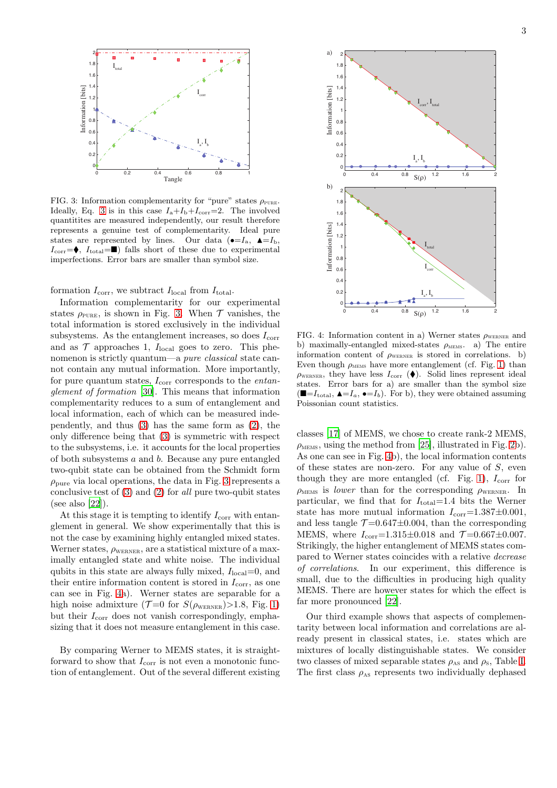

<span id="page-2-0"></span>FIG. 3: Information complementarity for "pure" states  $\rho_{\text{PURE}}$ . Ideally, Eq. [3](#page-1-0) is in this case  $I_a + I_b + I_{\text{corr}} = 2$ . The involved quantitites are measured independently, our result therefore represents a genuine test of complementarity. Ideal pure states are represented by lines. Our data ( $\bullet = I_a$ ,  $\blacktriangle = I_b$ ,  $I_{\text{corr}} = \blacklozenge, I_{\text{total}} = \blacksquare$ ) falls short of these due to experimental imperfections. Error bars are smaller than symbol size.

formation  $I_{\text{corr}}$ , we subtract  $I_{\text{local}}$  from  $I_{\text{total}}$ .

Information complementarity for our experimental states  $\rho_{\text{PURE}}$ , is shown in Fig. [3.](#page-2-0) When  $\mathcal T$  vanishes, the total information is stored exclusively in the individual subsystems. As the entanglement increases, so does  $I_{\text{corr}}$ and as  $\mathcal T$  approaches 1,  $I_{\text{local}}$  goes to zero. This phenomenon is strictly quantum—a pure classical state cannot contain any mutual information. More importantly, for pure quantum states,  $I_{\text{corr}}$  corresponds to the *entan*glement of formation [\[30\]](#page-3-25). This means that information complementarity reduces to a sum of entanglement and local information, each of which can be measured independently, and thus [\(3\)](#page-1-0) has the same form as [\(2\)](#page-0-1), the only difference being that [\(3\)](#page-1-0) is symmetric with respect to the subsystems, i.e. it accounts for the local properties of both subsystems a and b. Because any pure entangled two-qubit state can be obtained from the Schmidt form  $\rho_{\text{pure}}$  via local operations, the data in Fig. [3](#page-2-0) represents a conclusive test of  $(3)$  and  $(2)$  for all pure two-qubit states (see also [\[22\]](#page-3-17)).

At this stage it is tempting to identify  $I_{\text{corr}}$  with entanglement in general. We show experimentally that this is not the case by examining highly entangled mixed states. Werner states,  $\rho_{\text{WERNER}}$ , are a statistical mixture of a maximally entangled state and white noise. The individual qubits in this state are always fully mixed,  $I<sub>local</sub>=0$ , and their entire information content is stored in  $I_{\text{corr}}$ , as one can see in Fig. [4a](#page-2-1)). Werner states are separable for a high noise admixture ( $\mathcal{T}=0$  for  $S(\rho_{\text{WERNER}}) > 1.8$ , Fig. [1\)](#page-1-1) but their  $I_{\text{corr}}$  does not vanish correspondingly, emphasizing that it does not measure entanglement in this case.

By comparing Werner to MEMS states, it is straightforward to show that  $I_{\rm corr}$  is not even a monotonic function of entanglement. Out of the several different existing



<span id="page-2-1"></span>FIG. 4: Information content in a) Werner states  $\rho_{\text{WERNER}}$  and b) maximally-entangled mixed-states  $\rho_{\text{MEMs}}$ . a) The entire information content of  $\rho_{\text{wERNER}}$  is stored in correlations. b) Even though  $\rho_{\text{MENS}}$  have more entanglement (cf. Fig. [1\)](#page-1-1) than  $\rho_{\text{WERNER}}$ , they have less  $I_{\text{corr}}(\bullet)$ . Solid lines represent ideal states. Error bars for a) are smaller than the symbol size  $(\blacksquare = I_{\text{total}}, \blacktriangle = I_a, \blacktriangle = I_b)$ . For b), they were obtained assuming Poissonian count statistics.

classes [\[17](#page-3-15)] of MEMS, we chose to create rank-2 MEMS,  $\rho_{\text{MEMS}}$ , using the method from [\[25\]](#page-3-20), illustrated in Fig. [2b](#page-1-2)). As one can see in Fig. [4b](#page-2-1)), the local information contents of these states are non-zero. For any value of  $S$ , even though they are more entangled (cf. Fig. [1\)](#page-1-1),  $I_{\text{corr}}$  for  $\rho_{\text{MEMS}}$  is lower than for the corresponding  $\rho_{\text{WERNER}}$ . In particular, we find that for  $I_{total}=1.4$  bits the Werner state has more mutual information  $I_{\text{corr}}$ =1.387 $\pm$ 0.001, and less tangle  $\mathcal{T} = 0.647 \pm 0.004$ , than the corresponding MEMS, where  $I_{\text{corr}} = 1.315 \pm 0.018$  and  $\mathcal{T} = 0.667 \pm 0.007$ . Strikingly, the higher entanglement of MEMS states compared to Werner states coincides with a relative decrease of correlations. In our experiment, this difference is small, due to the difficulties in producing high quality MEMS. There are however states for which the effect is far more pronounced [\[22\]](#page-3-17).

Our third example shows that aspects of complementarity between local information and correlations are already present in classical states, i.e. states which are mixtures of locally distinguishable states. We consider two classes of mixed separable states  $\rho_{AS}$  and  $\rho_{S}$ , Table [I.](#page-0-2) The first class  $\rho_{AS}$  represents two individually dephased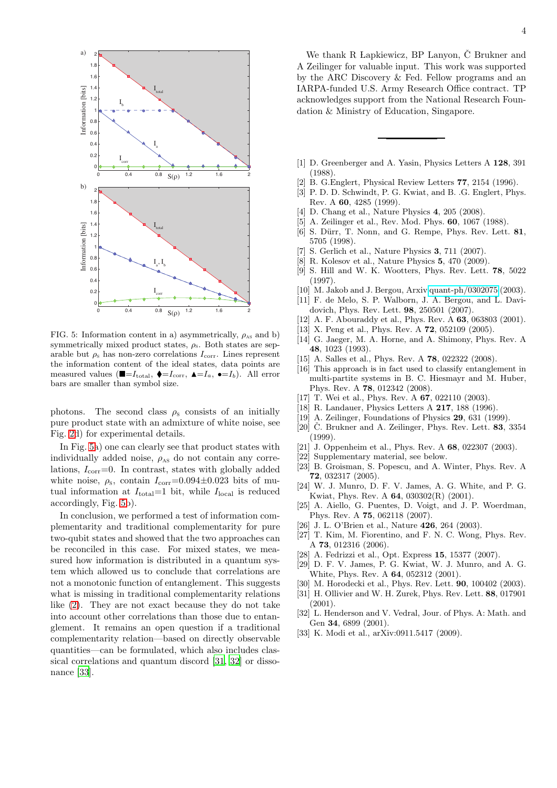

<span id="page-3-26"></span>FIG. 5: Information content in a) asymmetrically,  $\rho_{AS}$  and b) symmetrically mixed product states,  $\rho_s$ . Both states are separable but  $\rho_s$  has non-zero correlations  $I_{\text{corr}}$ . Lines represent the information content of the ideal states, data points are measured values ( $\blacksquare = I_{\text{total}}$ ,  $\blacklozenge = I_{\text{corr}}$ ,  $\blacktriangle = I_a$ ,  $\blacklozenge = I_b$ ). All error bars are smaller than symbol size.

photons. The second class  $\rho_s$  consists of an initially pure product state with an admixture of white noise, see Fig. [2d](#page-1-2)) for experimental details.

In Fig. [5a](#page-3-26)) one can clearly see that product states with individually added noise,  $\rho_{AS}$  do not contain any correlations,  $I_{\text{corr}}=0$ . In contrast, states with globally added white noise,  $\rho_s$ , contain  $I_{\text{corr}}=0.094\pm0.023$  bits of mutual information at  $I_{\text{total}}=1$  bit, while  $I_{\text{local}}$  is reduced accordingly, Fig. [5b](#page-3-26)).

In conclusion, we performed a test of information complementarity and traditional complementarity for pure two-qubit states and showed that the two approaches can be reconciled in this case. For mixed states, we measured how information is distributed in a quantum system which allowed us to conclude that correlations are not a monotonic function of entanglement. This suggests what is missing in traditional complementarity relations like [\(2\)](#page-0-1). They are not exact because they do not take into account other correlations than those due to entanglement. It remains an open question if a traditional complementarity relation—based on directly observable quantities—can be formulated, which also includes classical correlations and quantum discord [\[31,](#page-3-27) [32\]](#page-3-28) or dissonance [\[33\]](#page-3-29).

We thank R Lapkiewicz, BP Lanyon,  $\check{C}$  Brukner and A Zeilinger for valuable input. This work was supported by the ARC Discovery & Fed. Fellow programs and an IARPA-funded U.S. Army Research Office contract. TP acknowledges support from the National Research Foundation & Ministry of Education, Singapore.

- <span id="page-3-0"></span>[1] D. Greenberger and A. Yasin, Physics Letters A 128, 391 (1988).
- <span id="page-3-1"></span>[2] B. G.Englert, Physical Review Letters 77, 2154 (1996).
- <span id="page-3-2"></span>[3] P. D. D. Schwindt, P. G. Kwiat, and B. .G. Englert, Phys.
- Rev. A 60, 4285 (1999). [4] D. Chang et al., Nature Physics 4, 205 (2008).
- 
- [5] A. Zeilinger et al., Rev. Mod. Phys. **60**, 1067 (1988). [6] S. Dürr, T. Nonn, and G. Rempe, Phys. Rev. Lett. 81,
- 5705 (1998). S. Gerlich et al., Nature Physics 3, 711 (2007).
- 
- <span id="page-3-3"></span>[8] R. Kolesov et al., Nature Physics 5, 470 (2009).
- <span id="page-3-4"></span>[9] S. Hill and W. K. Wootters, Phys. Rev. Lett. 78, 5022 (1997).
- <span id="page-3-5"></span>[10] M. Jakob and J. Bergou, Arxiv [quant-ph/0302075](http://arxiv.org/abs/quant-ph/0302075) (2003).
- <span id="page-3-6"></span>[11] F. de Melo, S. P. Walborn, J. A. Bergou, and L. Davidovich, Phys. Rev. Lett. 98, 250501 (2007).
- <span id="page-3-7"></span>[12] A. F. Abouraddy et al., Phys. Rev. A **63**, 063803 (2001).
- <span id="page-3-8"></span>[13] X. Peng et al., Phys. Rev. A **72**, 052109 (2005).
- <span id="page-3-9"></span>[14] G. Jaeger, M. A. Horne, and A. Shimony, Phys. Rev. A 48, 1023 (1993).
- <span id="page-3-10"></span>[15] A. Salles et al., Phys. Rev. A **78**, 022322 (2008).
- <span id="page-3-11"></span>[16] This approach is in fact used to classify entanglement in multi-partite systems in B. C. Hiesmayr and M. Huber, Phys. Rev. A 78, 012342 (2008).
- <span id="page-3-15"></span>[17] T. Wei et al., Phys. Rev. A **67**, 022110 (2003).
- <span id="page-3-12"></span>[18] R. Landauer, Physics Letters A 217, 188 (1996).
- <span id="page-3-13"></span>[19] A. Zeilinger, Foundations of Physics 29, 631 (1999).
- <span id="page-3-14"></span>[20]  $\dot{C}$ . Brukner and A. Zeilinger, Phys. Rev. Lett. **83**, 3354 (1999).
- <span id="page-3-16"></span>[21] J. Oppenheim et al., Phys. Rev. A 68, 022307 (2003).
- <span id="page-3-17"></span>[22] Supplementary material, see below.
- <span id="page-3-18"></span>[23] B. Groisman, S. Popescu, and A. Winter, Phys. Rev. A 72, 032317 (2005).
- <span id="page-3-19"></span>[24] W. J. Munro, D. F. V. James, A. G. White, and P. G. Kwiat, Phys. Rev. A 64, 030302(R) (2001).
- <span id="page-3-20"></span>[25] A. Aiello, G. Puentes, D. Voigt, and J. P. Woerdman, Phys. Rev. A 75, 062118 (2007).
- <span id="page-3-21"></span>[26] J. L. O'Brien et al., Nature 426, 264 (2003).
- <span id="page-3-22"></span>[27] T. Kim, M. Fiorentino, and F. N. C. Wong, Phys. Rev. A 73, 012316 (2006).
- <span id="page-3-23"></span>[28] A. Fedrizzi et al., Opt. Express 15, 15377 (2007).
- <span id="page-3-24"></span>[29] D. F. V. James, P. G. Kwiat, W. J. Munro, and A. G. White, Phys. Rev. A 64, 052312 (2001).
- <span id="page-3-25"></span>[30] M. Horodecki et al., Phys. Rev. Lett. **90**, 100402 (2003).
- <span id="page-3-27"></span>[31] H. Ollivier and W. H. Zurek, Phys. Rev. Lett. 88, 017901  $(2001)$ .
- <span id="page-3-28"></span>[32] L. Henderson and V. Vedral, Jour. of Phys. A: Math. and Gen 34, 6899 (2001).
- <span id="page-3-29"></span>[33] K. Modi et al., arXiv:0911.5417 (2009).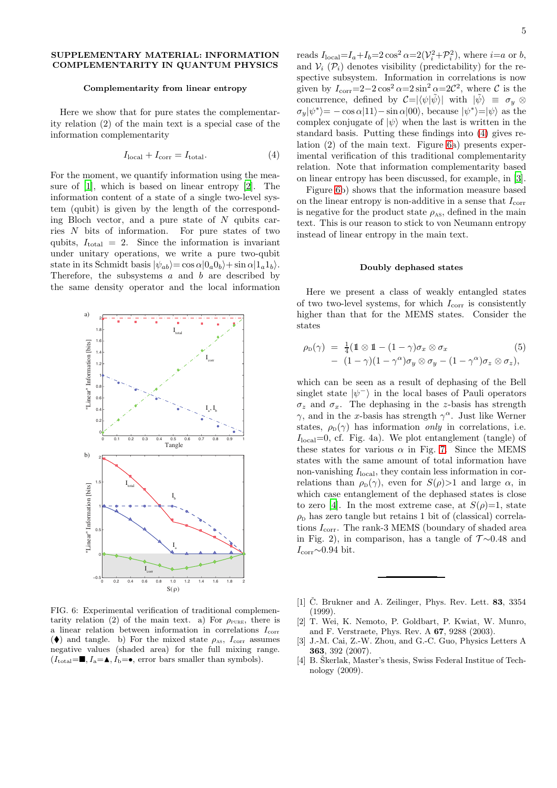## SUPPLEMENTARY MATERIAL: INFORMATION COMPLEMENTARITY IN QUANTUM PHYSICS

## Complementarity from linear entropy

Here we show that for pure states the complementarity relation (2) of the main text is a special case of the information complementarity

<span id="page-4-2"></span>
$$
I_{\text{local}} + I_{\text{corr}} = I_{\text{total}}.\tag{4}
$$

For the moment, we quantify information using the measure of [\[1\]](#page-4-0), which is based on linear entropy [\[2\]](#page-4-1). The information content of a state of a single two-level system (qubit) is given by the length of the corresponding Bloch vector, and a pure state of  $N$  qubits carries N bits of information. For pure states of two qubits,  $I_{\text{total}} = 2$ . Since the information is invariant under unitary operations, we write a pure two-qubit state in its Schmidt basis  $|\psi_{ab}\rangle = \cos \alpha |0_a0_b\rangle + \sin \alpha |1_a1_b\rangle.$ Therefore, the subsystems  $a$  and  $b$  are described by the same density operator and the local information



<span id="page-4-3"></span>FIG. 6: Experimental verification of traditional complementarity relation (2) of the main text. a) For  $\rho_{\text{PURE}}$ , there is a linear relation between information in correlations  $I_{\text{corr}}$ ( $\blacklozenge$ ) and tangle. b) For the mixed state  $\rho_{\text{as}}$ ,  $I_{\text{corr}}$  assumes negative values (shaded area) for the full mixing range.  $(I_{\text{total}}=\blacksquare, I_{\text{a}}=\blacktriangle, I_{\text{b}}=\bullet, \text{ error bars smaller than symbols}).$ 

reads  $I_{\text{local}} = I_a + I_b = 2\cos^2\alpha = 2(\mathcal{V}_i^2 + \mathcal{P}_i^2)$ , where  $i = a$  or b, and  $V_i$  ( $\mathcal{P}_i$ ) denotes visibility (predictability) for the respective subsystem. Information in correlations is now given by  $I_{\text{corr}} = 2 - 2 \cos^2 \alpha = 2 \sin^2 \alpha = 2\mathcal{C}^2$ , where  $\mathcal{C}$  is the concurrence, defined by  $\mathcal{C} = |\langle \psi | \tilde{\psi} \rangle|$  with  $|\tilde{\psi}\rangle \equiv \sigma_y \otimes$  $\sigma_y|\psi^*\rangle = -\cos\alpha|11\rangle - \sin\alpha|00\rangle$ , because  $|\psi^*\rangle = |\psi\rangle$  as the complex conjugate of  $|\psi\rangle$  when the last is written in the standard basis. Putting these findings into [\(4\)](#page-4-2) gives relation (2) of the main text. Figure [6a](#page-4-3)) presents experimental verification of this traditional complementarity relation. Note that information complementarity based on linear entropy has been discussed, for example, in [\[3\]](#page-4-4).

Figure [6b](#page-4-3)) shows that the information measure based on the linear entropy is non-additive in a sense that  $I_{\text{corr}}$ is negative for the product state  $\rho_{AS}$ , defined in the main text. This is our reason to stick to von Neumann entropy instead of linear entropy in the main text.

## Doubly dephased states

Here we present a class of weakly entangled states of two two-level systems, for which  $I_{\rm corr}$  is consistently higher than that for the MEMS states. Consider the states

$$
\rho_{\text{D}}(\gamma) = \frac{1}{4} (\mathbb{1} \otimes \mathbb{1} - (1 - \gamma) \sigma_x \otimes \sigma_x \qquad (5)
$$
  
- 
$$
(1 - \gamma) (1 - \gamma^{\alpha}) \sigma_y \otimes \sigma_y - (1 - \gamma^{\alpha}) \sigma_z \otimes \sigma_z),
$$

which can be seen as a result of dephasing of the Bell singlet state  $|\psi^{-}\rangle$  in the local bases of Pauli operators  $\sigma_z$  and  $\sigma_x$ . The dephasing in the z-basis has strength  $\gamma$ , and in the x-basis has strength  $\gamma^{\alpha}$ . Just like Werner states,  $\rho_{\rm p}(\gamma)$  has information *only* in correlations, i.e.  $I<sub>local</sub>=0$ , cf. Fig. 4a). We plot entanglement (tangle) of these states for various  $\alpha$  in Fig. [7.](#page-5-0) Since the MEMS states with the same amount of total information have non-vanishing  $I<sub>local</sub>$ , they contain less information in correlations than  $\rho_D(\gamma)$ , even for  $S(\rho) > 1$  and large  $\alpha$ , in which case entanglement of the dephased states is close to zero [\[4](#page-4-5)]. In the most extreme case, at  $S(\rho)=1$ , state  $\rho_{\rm D}$  has zero tangle but retains 1 bit of (classical) correlations  $I_{\text{corr}}$ . The rank-3 MEMS (boundary of shaded area in Fig. 2), in comparison, has a tangle of  $\mathcal{T} \sim 0.48$  and  $I_{\rm corr}$ ~0.94 bit.

- <span id="page-4-0"></span>[1]  $\check{C}$ . Brukner and A. Zeilinger, Phys. Rev. Lett. **83**, 3354 (1999).
- <span id="page-4-1"></span>[2] T. Wei, K. Nemoto, P. Goldbart, P. Kwiat, W. Munro, and F. Verstraete, Phys. Rev. A 67, 9288 (2003).
- <span id="page-4-4"></span>[3] J.-M. Cai, Z.-W. Zhou, and G.-C. Guo, Physics Letters A 363, 392 (2007).
- <span id="page-4-5"></span>[4] B. Skerlak, Master's thesis, Swiss Federal Institue of Technology (2009).